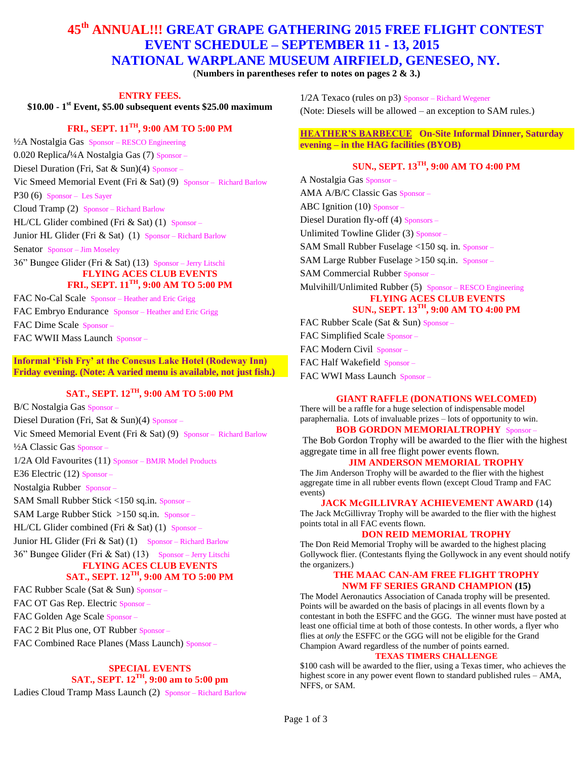## **45th ANNUAL!!! GREAT GRAPE GATHERING 2015 FREE FLIGHT CONTEST EVENT SCHEDULE – SEPTEMBER 11 - 13, 2015 NATIONAL WARPLANE MUSEUM AIRFIELD, GENESEO, NY.**

(**Numbers in parentheses refer to notes on pages 2 & 3.)**

**ENTRY FEES.**

**\$10.00 - 1 st Event, \$5.00 subsequent events \$25.00 maximum**

### **FRI., SEPT. 11TH, 9:00 AM TO 5:00 PM**

½A Nostalgia Gas Sponsor – RESCO Engineering 0.020 Replica**/**¼A Nostalgia Gas (7) Sponsor – Diesel Duration (Fri, Sat & Sun)(4) Sponsor – Vic Smeed Memorial Event (Fri & Sat) (9) Sponsor – Richard Barlow P30 (6) Sponsor – Les Sayer Cloud Tramp (2) Sponsor – Richard Barlow HL/CL Glider combined (Fri & Sat) (1) Sponsor – Junior HL Glider (Fri & Sat) (1) Sponsor – Richard Barlow

Senator Sponsor – Jim Moseley

36" Bungee Glider (Fri & Sat) (13) Sponsor – Jerry Litschi **FLYING ACES CLUB EVENTS**

# **FRI., SEPT. 11TH, 9:00 AM TO 5:00 PM**

FAC No-Cal Scale Sponsor – Heather and Eric Grigg FAC Embryo Endurance Sponsor – Heather and Eric Grigg FAC Dime Scale Sponsor – FAC WWII Mass Launch Sponsor –

**Informal 'Fish Fry' at the Conesus Lake Hotel (Rodeway Inn) Friday evening. (Note: A varied menu is available, not just fish.)**

### **SAT., SEPT. 12TH, 9:00 AM TO 5:00 PM**

B/C Nostalgia Gas Sponsor – Diesel Duration (Fri, Sat & Sun)(4) Sponsor – Vic Smeed Memorial Event (Fri & Sat) (9) Sponsor – Richard Barlow ½A Classic Gas Sponsor – 1/2A Old Favourites (11) Sponsor – BMJR Model Products E36 Electric (12) Sponsor – Nostalgia Rubber Sponsor – SAM Small Rubber Stick <150 sq.in. Sponsor – SAM Large Rubber Stick >150 sq.in. Sponsor – HL/CL Glider combined (Fri & Sat) (1) Sponsor – Junior HL Glider (Fri  $&$  Sat) (1) Sponsor – Richard Barlow 36" Bungee Glider (Fri & Sat) (13) Sponsor – Jerry Litschi **FLYING ACES CLUB EVENTS SAT., SEPT. 12TH, 9:00 AM TO 5:00 PM**

FAC Rubber Scale (Sat & Sun) Sponsor –

FAC OT Gas Rep. Electric Sponsor –

FAC Golden Age Scale Sponsor –

FAC 2 Bit Plus one, OT Rubber Sponsor –

FAC Combined Race Planes (Mass Launch) Sponsor –

#### **SPECIAL EVENTS SAT., SEPT. 12TH, 9:00 am to 5:00 pm**

Ladies Cloud Tramp Mass Launch (2) Sponsor – Richard Barlow

1/2A Texaco (rules on p3) Sponsor – Richard Wegener (Note: Diesels will be allowed – an exception to SAM rules.)

#### **HEATHER'S BARBECUE On-Site Informal Dinner, Saturday evening – in the HAG facilities (BYOB)**

## **SUN., SEPT. 13TH, 9:00 AM TO 4:00 PM**

A Nostalgia Gas Sponsor – AMA A/B/C Classic Gas Sponsor – ABC Ignition (10) Sponsor – Diesel Duration fly-off (4) Sponsors – Unlimited Towline Glider (3) Sponsor – SAM Small Rubber Fuselage <150 sq. in. Sponsor – SAM Large Rubber Fuselage >150 sq.in. Sponsor – SAM Commercial Rubber Sponsor – Mulvihill/Unlimited Rubber (5) Sponsor – RESCO Engineering **FLYING ACES CLUB EVENTS SUN., SEPT. 13TH, 9:00 AM TO 4:00 PM** FAC Rubber Scale (Sat & Sun) Sponsor – FAC Simplified Scale Sponsor –

FAC Modern Civil Sponsor –

FAC Half Wakefield Sponsor –

FAC WWI Mass Launch Sponsor –

#### **GIANT RAFFLE (DONATIONS WELCOMED)**

There will be a raffle for a huge selection of indispensable model paraphernalia. Lots of invaluable prizes – lots of opportunity to win. **BOB GORDON MEMORIALTROPHY** Sponsor –

The Bob Gordon Trophy will be awarded to the flier with the highest aggregate time in all free flight power events flown.

#### **JIM ANDERSON MEMORIAL TROPHY**

The Jim Anderson Trophy will be awarded to the flier with the highest aggregate time in all rubber events flown (except Cloud Tramp and FAC events)

#### **JACK McGILLIVRAY ACHIEVEMENT AWARD** (14)

The Jack McGillivray Trophy will be awarded to the flier with the highest points total in all FAC events flown.

#### **DON REID MEMORIAL TROPHY**

The Don Reid Memorial Trophy will be awarded to the highest placing Gollywock flier. (Contestants flying the Gollywock in any event should notify the organizers.)

#### **THE MAAC CAN-AM FREE FLIGHT TROPHY NWM FF SERIES GRAND CHAMPION (15)**

The Model Aeronautics Association of Canada trophy will be presented. Points will be awarded on the basis of placings in all events flown by a contestant in both the ESFFC and the GGG. The winner must have posted at least one official time at both of those contests. In other words, a flyer who flies at *only* the ESFFC or the GGG will not be eligible for the Grand Champion Award regardless of the number of points earned.

#### **TEXAS TIMERS CHALLENGE**

\$100 cash will be awarded to the flier, using a Texas timer, who achieves the highest score in any power event flown to standard published rules – AMA, NFFS, or SAM.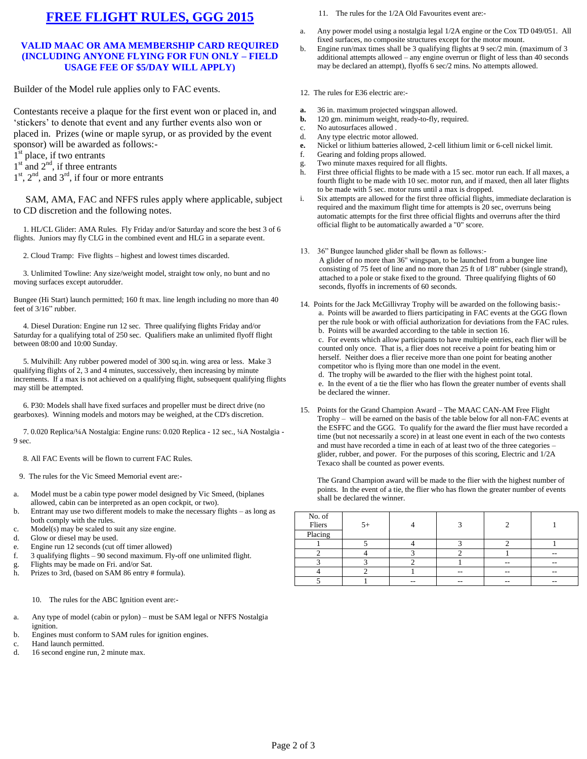# **FREE FLIGHT RULES, GGG 2015**

#### **VALID MAAC OR AMA MEMBERSHIP CARD REQUIRED (INCLUDING ANYONE FLYING FOR FUN ONLY – FIELD USAGE FEE OF \$5/DAY WILL APPLY)**

Builder of the Model rule applies only to FAC events.

Contestants receive a plaque for the first event won or placed in, and 'stickers' to denote that event and any further events also won or placed in. Prizes (wine or maple syrup, or as provided by the event sponsor) will be awarded as follows:-

- 1<sup>st</sup> place, if two entrants
- $1<sup>st</sup>$  and  $2<sup>nd</sup>$ , if three entrants
- $1<sup>st</sup>$ ,  $2<sup>nd</sup>$ , and  $3<sup>rd</sup>$ , if four or more entrants

 SAM, AMA, FAC and NFFS rules apply where applicable, subject to CD discretion and the following notes.

 1. HL/CL Glider: AMA Rules. Fly Friday and/or Saturday and score the best 3 of 6 flights. Juniors may fly CLG in the combined event and HLG in a separate event.

2. Cloud Tramp: Five flights – highest and lowest times discarded.

 3. Unlimited Towline: Any size/weight model, straight tow only, no bunt and no moving surfaces except autorudder.

Bungee (Hi Start) launch permitted; 160 ft max. line length including no more than 40 feet of 3/16" rubber.

 4. Diesel Duration: Engine run 12 sec. Three qualifying flights Friday and/or Saturday for a qualifying total of 250 sec. Qualifiers make an unlimited flyoff flight between 08:00 and 10:00 Sunday.

 5. Mulvihill: Any rubber powered model of 300 sq.in. wing area or less. Make 3 qualifying flights of 2, 3 and 4 minutes, successively, then increasing by minute increments. If a max is not achieved on a qualifying flight, subsequent qualifying flights may still be attempted.

 6. P30: Models shall have fixed surfaces and propeller must be direct drive (no gearboxes). Winning models and motors may be weighed, at the CD's discretion.

 7. 0.020 Replica/¼A Nostalgia: Engine runs: 0.020 Replica - 12 sec., ¼A Nostalgia - 9 sec.

8. All FAC Events will be flown to current FAC Rules.

- 9. The rules for the Vic Smeed Memorial event are:-
- a. Model must be a cabin type power model designed by Vic Smeed, (biplanes allowed, cabin can be interpreted as an open cockpit, or two).
- b. Entrant may use two different models to make the necessary flights as long as both comply with the rules.
- c. Model(s) may be scaled to suit any size engine.
- d. Glow or diesel may be used.
- e. Engine run 12 seconds (cut off timer allowed)
- f. 3 qualifying flights 90 second maximum. Fly-off one unlimited flight.
- g. Flights may be made on Fri. and/or Sat.
- h. Prizes to 3rd, (based on SAM 86 entry # formula).

#### 10. The rules for the ABC Ignition event are:-

- a. Any type of model (cabin or pylon) must be SAM legal or NFFS Nostalgia ignition.
- b. Engines must conform to SAM rules for ignition engines.
- c. Hand launch permitted.<br>d. 16 second engine run, 2
- 16 second engine run, 2 minute max.
- 11. The rules for the 1/2A Old Favourites event are:-
- a. Any power model using a nostalgia legal 1/2A engine or the Cox TD 049/051. All fixed surfaces, no composite structures except for the motor mount.
- b. Engine run/max times shall be 3 qualifying flights at 9 sec/2 min. (maximum of 3 additional attempts allowed – any engine overrun or flight of less than 40 seconds may be declared an attempt), flyoffs 6 sec/2 mins. No attempts allowed.
- 12. The rules for E36 electric are:-
- **a.** 36 in. maximum projected wingspan allowed.
- **b.** 120 gm. minimum weight, ready-to-fly, required.
- c. No autosurfaces allowed .
- d. Any type electric motor allowed.
- **e.** Nickel or lithium batteries allowed, 2-cell lithium limit or 6-cell nickel limit.
- f. Gearing and folding props allowed.
- g. Two minute maxes required for all flights.
- h. First three official flights to be made with a 15 sec. motor run each. If all maxes, a fourth flight to be made with 10 sec. motor run, and if maxed, then all later flights to be made with 5 sec. motor runs until a max is dropped.
- i. Six attempts are allowed for the first three official flights, immediate declaration is required and the maximum flight time for attempts is 20 sec, overruns being automatic attempts for the first three official flights and overruns after the third official flight to be automatically awarded a "0" score.
- 13. 36" Bungee launched glider shall be flown as follows:-
- A glider of no more than 36" wingspan, to be launched from a bungee line consisting of 75 feet of line and no more than 25 ft of 1/8" rubber (single strand), attached to a pole or stake fixed to the ground. Three qualifying flights of 60 seconds, flyoffs in increments of 60 seconds.
- 14. Points for the Jack McGillivray Trophy will be awarded on the following basis: a. Points will be awarded to fliers participating in FAC events at the GGG flown per the rule book or with official authorization for deviations from the FAC rules. b. Points will be awarded according to the table in section 16. c. For events which allow participants to have multiple entries, each flier will be

counted only once. That is, a flier does not receive a point for beating him or herself. Neither does a flier receive more than one point for beating another competitor who is flying more than one model in the event.

d. The trophy will be awarded to the flier with the highest point total. e. In the event of a tie the flier who has flown the greater number of events shall be declared the winner.

15. Points for the Grand Champion Award – The MAAC CAN-AM Free Flight Trophy – will be earned on the basis of the table below for all non-FAC events at the ESFFC and the GGG. To qualify for the award the flier must have recorded a time (but not necessarily a score) in at least one event in each of the two contests and must have recorded a time in each of at least two of the three categories – glider, rubber, and power. For the purposes of this scoring, Electric and 1/2A Texaco shall be counted as power events.

The Grand Champion award will be made to the flier with the highest number of points. In the event of a tie, the flier who has flown the greater number of events shall be declared the winner.

| No. of<br>Fliers<br>Placing | $5+$ |     |       |                          |       |
|-----------------------------|------|-----|-------|--------------------------|-------|
|                             |      |     |       |                          |       |
|                             |      |     |       |                          | $- -$ |
|                             |      |     |       | $-$                      |       |
|                             |      |     | $- -$ | $\overline{\phantom{m}}$ | $- -$ |
|                             |      | $-$ | --    | $-$                      | --    |